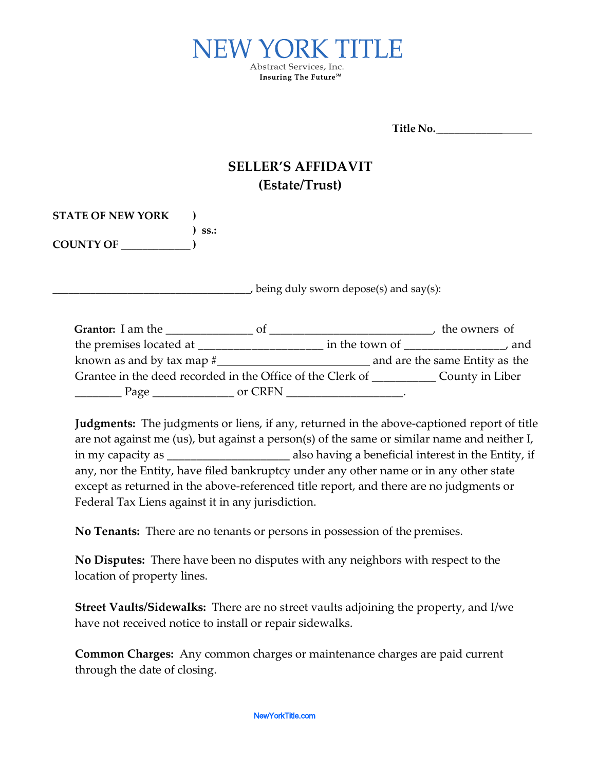

**Title No.** \_\_\_\_\_\_\_\_\_\_\_\_

## **SELLER'S AFFIDAVIT (Estate/Trust)**

| <b>STATE OF NEW YORK</b> |             |
|--------------------------|-------------|
|                          | $\sum$ SS.: |
| <b>COUNTY OF</b>         |             |

 $\rightarrow$  being duly sworn depose(s) and say(s):

| <b>Grantor:</b> I am the                                   |         |                | the owners of                  |  |
|------------------------------------------------------------|---------|----------------|--------------------------------|--|
| the premises located at                                    |         | in the town of | and                            |  |
| known as and by tax map $#$                                |         |                | and are the same Entity as the |  |
| Grantee in the deed recorded in the Office of the Clerk of |         |                | County in Liber                |  |
| Page                                                       | or CRFN |                |                                |  |

**Judgments:** The judgments or liens, if any, returned in the above-captioned report of title are not against me (us), but against a person(s) of the same or similar name and neither I, in my capacity as \_\_\_\_\_\_\_\_\_\_\_\_\_\_\_\_\_\_\_\_\_ also having a beneficial interest in the Entity, if any, nor the Entity, have filed bankruptcy under any other name or in any other state except as returned in the above-referenced title report, and there are no judgments or Federal Tax Liens against it in any jurisdiction.

**No Tenants:** There are no tenants or persons in possession of the premises.

**No Disputes:** There have been no disputes with any neighbors with respect to the location of property lines.

**Street Vaults/Sidewalks:** There are no street vaults adjoining the property, and I/we have not received notice to install or repair sidewalks.

**Common Charges:** Any common charges or maintenance charges are paid current through the date of closing.